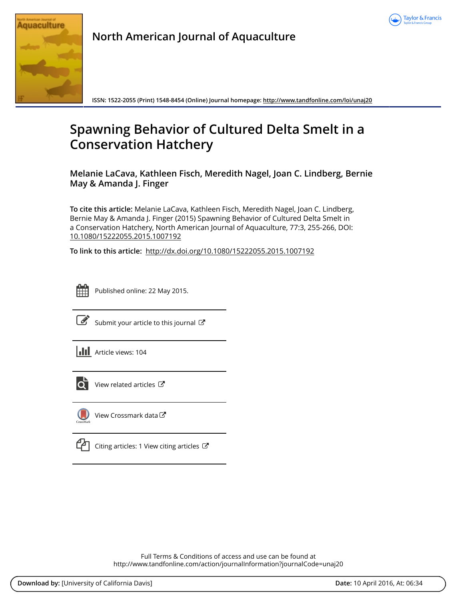



**North American Journal of Aquaculture**

**ISSN: 1522-2055 (Print) 1548-8454 (Online) Journal homepage:<http://www.tandfonline.com/loi/unaj20>**

# **Spawning Behavior of Cultured Delta Smelt in a Conservation Hatchery**

**Melanie LaCava, Kathleen Fisch, Meredith Nagel, Joan C. Lindberg, Bernie May & Amanda J. Finger**

**To cite this article:** Melanie LaCava, Kathleen Fisch, Meredith Nagel, Joan C. Lindberg, Bernie May & Amanda J. Finger (2015) Spawning Behavior of Cultured Delta Smelt in a Conservation Hatchery, North American Journal of Aquaculture, 77:3, 255-266, DOI: [10.1080/15222055.2015.1007192](http://www.tandfonline.com/action/showCitFormats?doi=10.1080/15222055.2015.1007192)

**To link to this article:** <http://dx.doi.org/10.1080/15222055.2015.1007192>

| _ |  |  |  |  |  |
|---|--|--|--|--|--|
|   |  |  |  |  |  |
|   |  |  |  |  |  |
|   |  |  |  |  |  |

Published online: 22 May 2015.



 $\overrightarrow{S}$  [Submit your article to this journal](http://www.tandfonline.com/action/authorSubmission?journalCode=unaj20&page=instructions)  $\overrightarrow{S}$ 





[View related articles](http://www.tandfonline.com/doi/mlt/10.1080/15222055.2015.1007192) C



[View Crossmark data](http://crossmark.crossref.org/dialog/?doi=10.1080/15222055.2015.1007192&domain=pdf&date_stamp=2015-05-22)<sup>で</sup>

[Citing articles: 1 View citing articles](http://www.tandfonline.com/doi/citedby/10.1080/15222055.2015.1007192#tabModule)  $\mathbb{Z}$ 

Full Terms & Conditions of access and use can be found at <http://www.tandfonline.com/action/journalInformation?journalCode=unaj20>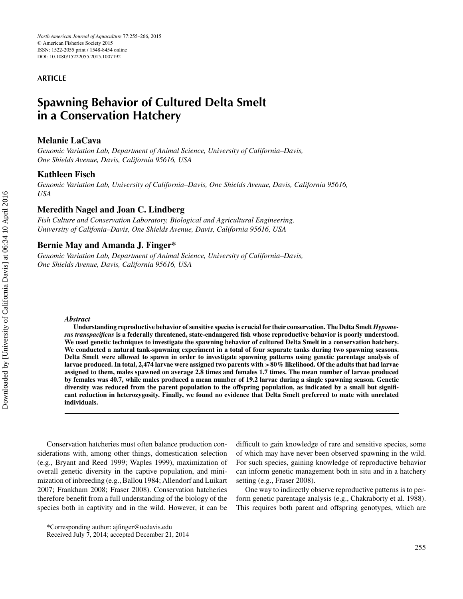#### **ARTICLE**

## **Spawning Behavior of Cultured Delta Smelt in a Conservation Hatchery**

#### **Melanie LaCava**

*Genomic Variation Lab, Department of Animal Science, University of California–Davis, One Shields Avenue, Davis, California 95616, USA*

#### **Kathleen Fisch**

*Genomic Variation Lab, University of California–Davis, One Shields Avenue, Davis, California 95616, USA*

#### **Meredith Nagel and Joan C. Lindberg**

*Fish Culture and Conservation Laboratory, Biological and Agricultural Engineering, University of Califonia–Davis, One Shields Avenue, Davis, California 95616, USA*

#### **Bernie May and Amanda J. Finger\***

*Genomic Variation Lab, Department of Animal Science, University of California–Davis, One Shields Avenue, Davis, California 95616, USA*

#### *Abstract*

**Understanding reproductive behavior of sensitive species is crucial for their conservation. The Delta Smelt** *Hypomesus transpacificus* **is a federally threatened, state-endangered fish whose reproductive behavior is poorly understood. We used genetic techniques to investigate the spawning behavior of cultured Delta Smelt in a conservation hatchery. We conducted a natural tank-spawning experiment in a total of four separate tanks during two spawning seasons. Delta Smelt were allowed to spawn in order to investigate spawning patterns using genetic parentage analysis of larvae produced. In total, 2,474 larvae were assigned two parents with >80% likelihood. Of the adults that had larvae assigned to them, males spawned on average 2.8 times and females 1.7 times. The mean number of larvae produced by females was 40.7, while males produced a mean number of 19.2 larvae during a single spawning season. Genetic diversity was reduced from the parent population to the offspring population, as indicated by a small but significant reduction in heterozygosity. Finally, we found no evidence that Delta Smelt preferred to mate with unrelated individuals.**

Conservation hatcheries must often balance production considerations with, among other things, domestication selection (e.g., Bryant and Reed 1999; Waples 1999), maximization of overall genetic diversity in the captive population, and minimization of inbreeding (e.g., Ballou 1984; Allendorf and Luikart 2007; Frankham 2008; Fraser 2008). Conservation hatcheries therefore benefit from a full understanding of the biology of the species both in captivity and in the wild. However, it can be

difficult to gain knowledge of rare and sensitive species, some of which may have never been observed spawning in the wild. For such species, gaining knowledge of reproductive behavior can inform genetic management both in situ and in a hatchery setting (e.g., Fraser 2008).

One way to indirectly observe reproductive patterns is to perform genetic parentage analysis (e.g., Chakraborty et al. 1988). This requires both parent and offspring genotypes, which are

<sup>\*</sup>Corresponding author: ajfinger@ucdavis.edu

Received July 7, 2014; accepted December 21, 2014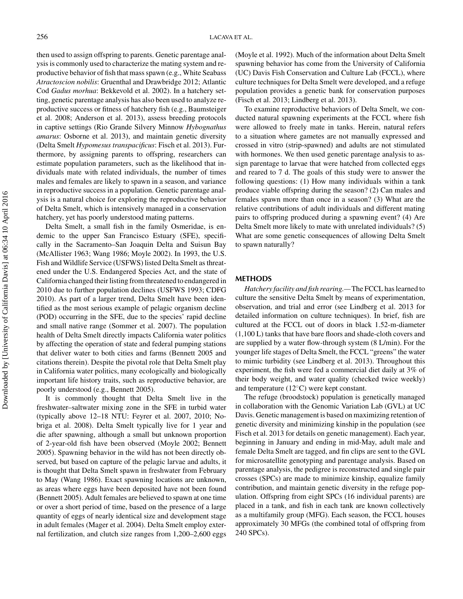then used to assign offspring to parents. Genetic parentage analysis is commonly used to characterize the mating system and reproductive behavior of fish that mass spawn (e.g., White Seabass *Atractoscion nobilis*: Gruenthal and Drawbridge 2012; Atlantic Cod *Gadus morhua*: Bekkevold et al. 2002). In a hatchery setting, genetic parentage analysis has also been used to analyze reproductive success or fitness of hatchery fish (e.g., Baumsteiger et al. 2008; Anderson et al. 2013), assess breeding protocols in captive settings (Rio Grande Silvery Minnow *Hybognathus amarus*: Osborne et al. 2013), and maintain genetic diversity (Delta Smelt *Hypomesus transpacificus*: Fisch et al. 2013). Furthermore, by assigning parents to offspring, researchers can estimate population parameters, such as the likelihood that individuals mate with related individuals, the number of times males and females are likely to spawn in a season, and variance in reproductive success in a population. Genetic parentage analysis is a natural choice for exploring the reproductive behavior of Delta Smelt, which is intensively managed in a conservation hatchery, yet has poorly understood mating patterns.

Delta Smelt, a small fish in the family Osmeridae, is endemic to the upper San Francisco Estuary (SFE), specifically in the Sacramento–San Joaquin Delta and Suisun Bay (McAllister 1963; Wang 1986; Moyle 2002). In 1993, the U.S. Fish and Wildlife Service (USFWS) listed Delta Smelt as threatened under the U.S. Endangered Species Act, and the state of California changed their listing from threatened to endangered in 2010 due to further population declines (USFWS 1993; CDFG 2010). As part of a larger trend, Delta Smelt have been identified as the most serious example of pelagic organism decline (POD) occurring in the SFE, due to the species' rapid decline and small native range (Sommer et al. 2007). The population health of Delta Smelt directly impacts California water politics by affecting the operation of state and federal pumping stations that deliver water to both cities and farms (Bennett 2005 and citations therein). Despite the pivotal role that Delta Smelt play in California water politics, many ecologically and biologically important life history traits, such as reproductive behavior, are poorly understood (e.g., Bennett 2005).

It is commonly thought that Delta Smelt live in the freshwater–saltwater mixing zone in the SFE in turbid water (typically above 12–18 NTU: Feyrer et al. 2007, 2010; Nobriga et al. 2008). Delta Smelt typically live for 1 year and die after spawning, although a small but unknown proportion of 2-year-old fish have been observed (Moyle 2002; Bennett 2005). Spawning behavior in the wild has not been directly observed, but based on capture of the pelagic larvae and adults, it is thought that Delta Smelt spawn in freshwater from February to May (Wang 1986). Exact spawning locations are unknown, as areas where eggs have been deposited have not been found (Bennett 2005). Adult females are believed to spawn at one time or over a short period of time, based on the presence of a large quantity of eggs of nearly identical size and development stage in adult females (Mager et al. 2004). Delta Smelt employ external fertilization, and clutch size ranges from 1,200–2,600 eggs

(Moyle et al. 1992). Much of the information about Delta Smelt spawning behavior has come from the University of California (UC) Davis Fish Conservation and Culture Lab (FCCL), where culture techniques for Delta Smelt were developed, and a refuge population provides a genetic bank for conservation purposes (Fisch et al. 2013; Lindberg et al. 2013).

To examine reproductive behaviors of Delta Smelt, we conducted natural spawning experiments at the FCCL where fish were allowed to freely mate in tanks. Herein, natural refers to a situation where gametes are not manually expressed and crossed in vitro (strip-spawned) and adults are not stimulated with hormones. We then used genetic parentage analysis to assign parentage to larvae that were hatched from collected eggs and reared to 7 d. The goals of this study were to answer the following questions: (1) How many individuals within a tank produce viable offspring during the season? (2) Can males and females spawn more than once in a season? (3) What are the relative contributions of adult individuals and different mating pairs to offspring produced during a spawning event? (4) Are Delta Smelt more likely to mate with unrelated individuals? (5) What are some genetic consequences of allowing Delta Smelt to spawn naturally?

#### **METHODS**

*Hatchery facility and fish rearing.—*The FCCL has learned to culture the sensitive Delta Smelt by means of experimentation, observation, and trial and error (see Lindberg et al. 2013 for detailed information on culture techniques). In brief, fish are cultured at the FCCL out of doors in black 1.52-m-diameter (1,100 L) tanks that have bare floors and shade-cloth covers and are supplied by a water flow-through system (8 L/min). For the younger life stages of Delta Smelt, the FCCL "greens" the water to mimic turbidity (see Lindberg et al. 2013). Throughout this experiment, the fish were fed a commercial diet daily at 3% of their body weight, and water quality (checked twice weekly) and temperature (12◦C) were kept constant.

The refuge (broodstock) population is genetically managed in collaboration with the Genomic Variation Lab (GVL) at UC Davis. Genetic management is based on maximizing retention of genetic diversity and minimizing kinship in the population (see Fisch et al. 2013 for details on genetic management). Each year, beginning in January and ending in mid-May, adult male and female Delta Smelt are tagged, and fin clips are sent to the GVL for microsatellite genotyping and parentage analysis. Based on parentage analysis, the pedigree is reconstructed and single pair crosses (SPCs) are made to minimize kinship, equalize family contribution, and maintain genetic diversity in the refuge population. Offspring from eight SPCs (16 individual parents) are placed in a tank, and fish in each tank are known collectively as a multifamily group (MFG). Each season, the FCCL houses approximately 30 MFGs (the combined total of offspring from 240 SPCs).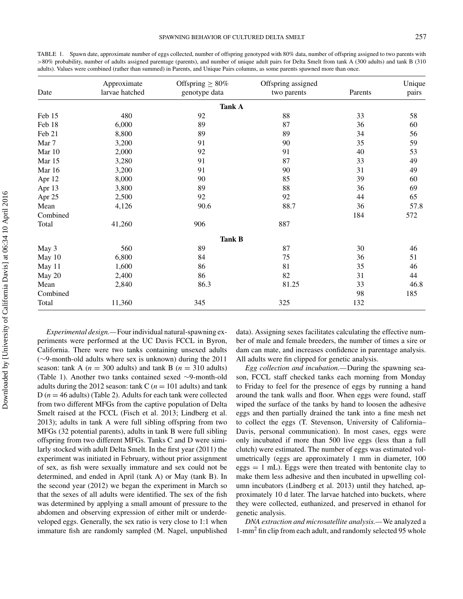TABLE 1. Spawn date, approximate number of eggs collected, number of offspring genotyped with 80% data, number of offspring assigned to two parents with >80% probability, number of adults assigned parentage (parents), and number of unique adult pairs for Delta Smelt from tank A (300 adults) and tank B (310 adults). Values were combined (rather than summed) in Parents, and Unique Pairs columns, as some parents spawned more than once.

| Date     | Approximate<br>larvae hatched | Offspring $\geq 80\%$<br>genotype data | Offspring assigned<br>two parents | Parents | Unique<br>pairs |
|----------|-------------------------------|----------------------------------------|-----------------------------------|---------|-----------------|
|          |                               | <b>Tank A</b>                          |                                   |         |                 |
| Feb 15   | 480                           | 92                                     | 88                                | 33      | 58              |
| Feb 18   | 6,000                         | 89                                     | 87                                | 36      | 60              |
| Feb 21   | 8,800                         | 89                                     | 89                                | 34      | 56              |
| Mar 7    | 3,200                         | 91                                     | 90                                | 35      | 59              |
| Mar 10   | 2,000                         | 92                                     | 91                                | 40      | 53              |
| Mar 15   | 3,280                         | 91                                     | 87                                | 33      | 49              |
| Mar 16   | 3,200                         | 91                                     | 90                                | 31      | 49              |
| Apr 12   | 8,000                         | 90                                     | 85                                | 39      | 60              |
| Apr 13   | 3,800                         | 89                                     | 88                                | 36      | 69              |
| Apr 25   | 2,500                         | 92                                     | 92                                | 44      | 65              |
| Mean     | 4,126                         | 90.6                                   | 88.7                              | 36      | 57.8            |
| Combined |                               |                                        |                                   | 184     | 572             |
| Total    | 41,260                        | 906                                    | 887                               |         |                 |
|          |                               | <b>Tank B</b>                          |                                   |         |                 |
| May 3    | 560                           | 89                                     | 87                                | 30      | 46              |
| May 10   | 6,800                         | 84                                     | 75                                | 36      | 51              |
| May 11   | 1,600                         | 86                                     | 81                                | 35      | 46              |
| May 20   | 2,400                         | 86                                     | 82                                | 31      | 44              |
| Mean     | 2,840                         | 86.3                                   | 81.25                             | 33      | 46.8            |
| Combined |                               |                                        |                                   | 98      | 185             |
| Total    | 11,360                        | 345                                    | 325                               | 132     |                 |

*Experimental design.—*Four individual natural-spawning experiments were performed at the UC Davis FCCL in Byron, California. There were two tanks containing unsexed adults (∼9-month-old adults where sex is unknown) during the 2011 season: tank A ( $n = 300$  adults) and tank B ( $n = 310$  adults) (Table 1). Another two tanks contained sexed ∼9-month-old adults during the 2012 season: tank C ( $n = 101$  adults) and tank  $D(n = 46$  adults) (Table 2). Adults for each tank were collected from two different MFGs from the captive population of Delta Smelt raised at the FCCL (Fisch et al. 2013; Lindberg et al. 2013); adults in tank A were full sibling offspring from two MFGs (32 potential parents), adults in tank B were full sibling offspring from two different MFGs. Tanks C and D were similarly stocked with adult Delta Smelt. In the first year (2011) the experiment was initiated in February, without prior assignment of sex, as fish were sexually immature and sex could not be determined, and ended in April (tank A) or May (tank B). In the second year (2012) we began the experiment in March so that the sexes of all adults were identified. The sex of the fish was determined by applying a small amount of pressure to the abdomen and observing expression of either milt or underdeveloped eggs. Generally, the sex ratio is very close to 1:1 when immature fish are randomly sampled (M. Nagel, unpublished data). Assigning sexes facilitates calculating the effective number of male and female breeders, the number of times a sire or dam can mate, and increases confidence in parentage analysis. All adults were fin clipped for genetic analysis.

*Egg collection and incubation.—*During the spawning season, FCCL staff checked tanks each morning from Monday to Friday to feel for the presence of eggs by running a hand around the tank walls and floor. When eggs were found, staff wiped the surface of the tanks by hand to loosen the adhesive eggs and then partially drained the tank into a fine mesh net to collect the eggs (T. Stevenson, University of California– Davis, personal communication). In most cases, eggs were only incubated if more than 500 live eggs (less than a full clutch) were estimated. The number of eggs was estimated volumetrically (eggs are approximately 1 mm in diameter, 100  $eggs = 1$  mL). Eggs were then treated with bentonite clay to make them less adhesive and then incubated in upwelling column incubators (Lindberg et al. 2013) until they hatched, approximately 10 d later. The larvae hatched into buckets, where they were collected, euthanized, and preserved in ethanol for genetic analysis.

*DNA extraction and microsatellite analysis.—*We analyzed a 1-mm<sup>2</sup> fin clip from each adult, and randomly selected 95 whole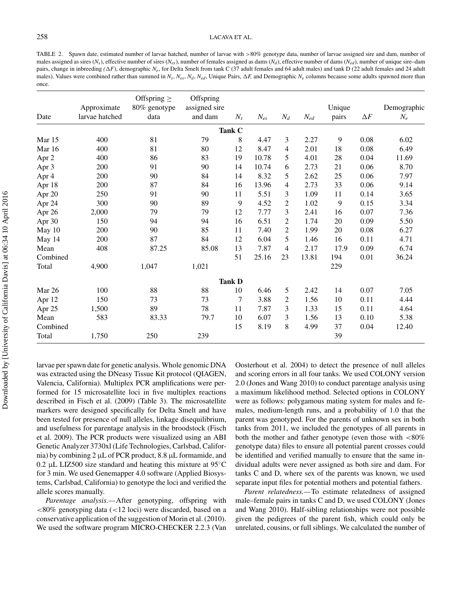#### 258 LACAVA ET AL.

TABLE 2. Spawn date, estimated number of larvae hatched, number of larvae with >80% genotype data, number of larvae assigned sire and dam, number of males assigned as sires ( $N_s$ ), effective number of sires ( $N_{es}$ ), number of females assigned as dams ( $N_d$ ), effective number of dams ( $N_{ed}$ ), number of unique sire–dam pairs, change in inbreeding *(AF)*, demographic *N<sub>e</sub>*, for Delta Smelt from tank C (37 adult females and 64 adult males) and tank D (22 adult females and 24 adult males). Values were combined rather than summed in  $N_s$ ,  $N_{es}$ ,  $N_d$ ,  $N_{ed}$ , Unique Pairs,  $\Delta F$ , and Demographic  $N_e$  columns because some adults spawned more than once.

| Date     | Approximate<br>larvae hatched | Offspring $\geq$<br>80% genotype<br>data | Offspring<br>assigned sire<br>and dam | $N_{s}$       | $N_{es}$ | $N_d$          | $\mathcal{N}_{ed}$ | Unique<br>pairs | $\Delta F$ | Demographic<br>$N_e$ |
|----------|-------------------------------|------------------------------------------|---------------------------------------|---------------|----------|----------------|--------------------|-----------------|------------|----------------------|
|          |                               |                                          |                                       | Tank C        |          |                |                    |                 |            |                      |
| Mar $15$ | 400                           | 81                                       | 79                                    | 8             | 4.47     | 3              | 2.27               | 9               | 0.08       | 6.02                 |
| Mar $16$ | 400                           | 81                                       | 80                                    | 12            | 8.47     | 4              | 2.01               | 18              | 0.08       | 6.49                 |
| Apr 2    | 400                           | 86                                       | 83                                    | 19            | 10.78    | 5              | 4.01               | 28              | 0.04       | 11.69                |
| Apr 3    | 200                           | 91                                       | 90                                    | 14            | 10.74    | 6              | 2.73               | 21              | 0.06       | 8.70                 |
| Apr 4    | 200                           | 90                                       | 84                                    | 14            | 8.32     | 5              | 2.62               | 25              | 0.06       | 7.97                 |
| Apr 18   | 200                           | 87                                       | 84                                    | 16            | 13.96    | 4              | 2.73               | 33              | 0.06       | 9.14                 |
| Apr 20   | 250                           | 91                                       | 90                                    | 11            | 5.51     | 3              | 1.09               | 11              | 0.14       | 3.65                 |
| Apr 24   | 300                           | 90                                       | 89                                    | 9             | 4.52     | $\mathfrak{2}$ | 1.02               | 9               | 0.15       | 3.34                 |
| Apr 26   | 2,000                         | 79                                       | 79                                    | 12            | 7.77     | 3              | 2.41               | 16              | 0.07       | 7.36                 |
| Apr 30   | 150                           | 94                                       | 94                                    | 16            | 6.51     | $\mathfrak{2}$ | 1.74               | 20              | 0.09       | 5.50                 |
| May 10   | 200                           | 90                                       | 85                                    | 11            | 7.40     | $\mathfrak{2}$ | 1.99               | 20              | 0.08       | 6.27                 |
| May 14   | 200                           | 87                                       | 84                                    | 12            | 6.04     | 5              | 1.46               | 16              | 0.11       | 4.71                 |
| Mean     | 408                           | 87.25                                    | 85.08                                 | 13            | 7.87     | 4              | 2.17               | 17.9            | 0.09       | 6.74                 |
| Combined |                               |                                          |                                       | 51            | 25.16    | 23             | 13.81              | 194             | 0.01       | 36.24                |
| Total    | 4,900                         | 1,047                                    | 1,021                                 |               |          |                |                    | 229             |            |                      |
|          |                               |                                          |                                       | <b>Tank D</b> |          |                |                    |                 |            |                      |
| Mar 26   | 100                           | 88                                       | 88                                    | 10            | 6.46     | 5              | 2.42               | 14              | 0.07       | 7.05                 |
| Apr 12   | 150                           | 73                                       | 73                                    | 7             | 3.88     | $\overline{c}$ | 1.56               | 10              | 0.11       | 4.44                 |
| Apr 25   | 1,500                         | 89                                       | 78                                    | 11            | 7.87     | 3              | 1.33               | 15              | 0.11       | 4.64                 |
| Mean     | 583                           | 83.33                                    | 79.7                                  | 10            | 6.07     | 3              | 1.56               | 13              | 0.10       | 5.38                 |
| Combined |                               |                                          |                                       | 15            | 8.19     | 8              | 4.99               | 37              | 0.04       | 12.40                |
| Total    | 1,750                         | 250                                      | 239                                   |               |          |                |                    | 39              |            |                      |

larvae per spawn date for genetic analysis. Whole genomic DNA was extracted using the DNeasy Tissue Kit protocol (QIAGEN, Valencia, California). Multiplex PCR amplifications were performed for 15 microsatellite loci in five multiplex reactions described in Fisch et al. (2009) (Table 3). The microsatellite markers were designed specifically for Delta Smelt and have been tested for presence of null alleles, linkage disequilibrium, and usefulness for parentage analysis in the broodstock (Fisch et al. 2009). The PCR products were visualized using an ABI Genetic Analyzer 3730xl (Life Technologies, Carlsbad, California) by combining 2  $\mu$ L of PCR product, 8.8  $\mu$ L formamide, and 0.2 µL LIZ500 size standard and heating this mixture at  $95^{\circ}$ C for 3 min. We used Genemapper 4.0 software (Applied Biosystems, Carlsbad, California) to genotype the loci and verified the allele scores manually.

*Parentage analysis.—*After genotyping, offspring with <80% genotyping data (<12 loci) were discarded, based on a conservative application of the suggestion of Morin et al. (2010). We used the software program MICRO-CHECKER 2.2.3 (Van Oosterhout et al. 2004) to detect the presence of null alleles and scoring errors in all four tanks. We used COLONY version 2.0 (Jones and Wang 2010) to conduct parentage analysis using a maximum likelihood method. Selected options in COLONY were as follows: polygamous mating system for males and females, medium-length runs, and a probability of 1.0 that the parent was genotyped. For the parents of unknown sex in both tanks from 2011, we included the genotypes of all parents in both the mother and father genotype (even those with  $<80\%$ ) genotype data) files to ensure all potential parent crosses could be identified and verified manually to ensure that the same individual adults were never assigned as both sire and dam. For tanks C and D, where sex of the parents was known, we used separate input files for potential mothers and potential fathers.

*Parent relatedness.—*To estimate relatedness of assigned male–female pairs in tanks C and D, we used COLONY (Jones and Wang 2010). Half-sibling relationships were not possible given the pedigrees of the parent fish, which could only be unrelated, cousins, or full siblings. We calculated the number of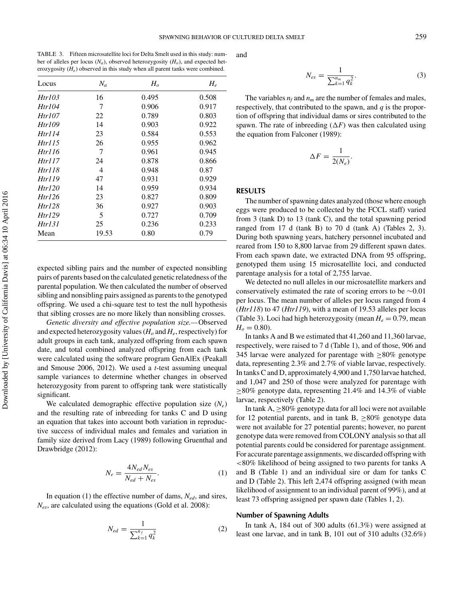TABLE 3. Fifteen microsatellite loci for Delta Smelt used in this study: number of alleles per locus  $(N_a)$ , observed heterozygosity  $(H_o)$ , and expected heterozygosity (*He*) observed in this study when all parent tanks were combined.

| Locus  | $N_a$ | H <sub>o</sub> | $H_e$ |
|--------|-------|----------------|-------|
| Htr103 | 16    | 0.495          | 0.508 |
| Htr104 | 7     | 0.906          | 0.917 |
| Htr107 | 22    | 0.789          | 0.803 |
| Htr109 | 14    | 0.903          | 0.922 |
| Htr114 | 23    | 0.584          | 0.553 |
| Htr115 | 26    | 0.955          | 0.962 |
| Htr116 | 7     | 0.961          | 0.945 |
| Htr117 | 24    | 0.878          | 0.866 |
| Htr118 | 4     | 0.948          | 0.87  |
| Htr119 | 47    | 0.931          | 0.929 |
| Htr120 | 14    | 0.959          | 0.934 |
| Htr126 | 23    | 0.827          | 0.809 |
| Htr128 | 36    | 0.927          | 0.903 |
| Htr129 | 5     | 0.727          | 0.709 |
| Htr131 | 25    | 0.236          | 0.233 |
| Mean   | 19.53 | 0.80           | 0.79  |

expected sibling pairs and the number of expected nonsibling pairs of parents based on the calculated genetic relatedness of the parental population. We then calculated the number of observed sibling and nonsibling pairs assigned as parents to the genotyped offspring. We used a chi-square test to test the null hypothesis that sibling crosses are no more likely than nonsibling crosses.

*Genetic diversity and effective population size.—*Observed and expected heterozygosity values ( $H_o$  and  $H_e$ , respectively) for adult groups in each tank, analyzed offspring from each spawn date, and total combined analyzed offspring from each tank were calculated using the software program GenAlEx (Peakall and Smouse 2006, 2012). We used a *t*-test assuming unequal sample variances to determine whether changes in observed heterozygosity from parent to offspring tank were statistically significant.

We calculated demographic effective population size  $(N_e)$ and the resulting rate of inbreeding for tanks C and D using an equation that takes into account both variation in reproductive success of individual males and females and variation in family size derived from Lacy (1989) following Gruenthal and Drawbridge (2012):

$$
N_e = \frac{4N_{ed}N_{es}}{N_{ed} + N_{es}}.\tag{1}
$$

In equation (1) the effective number of dams, *Ned*, and sires, *Nes*, are calculated using the equations (Gold et al. 2008):

$$
N_{ed} = \frac{1}{\sum_{k=1}^{n_f} q_k^2}
$$
 (2)

and

$$
N_{es} = \frac{1}{\sum_{k=1}^{n_m} q_k^2}.
$$
 (3)

The variables  $n_f$  and  $n_m$  are the number of females and males, respectively, that contributed to the spawn, and *q* is the proportion of offspring that individual dams or sires contributed to the spawn. The rate of inbreeding  $(\Delta F)$  was then calculated using the equation from Falconer (1989):

$$
\Delta F = \frac{1}{2(N_e)}.
$$

#### **RESULTS**

The number of spawning dates analyzed (those where enough eggs were produced to be collected by the FCCL staff) varied from 3 (tank D) to 13 (tank C), and the total spawning period ranged from 17 d (tank B) to 70 d (tank A) (Tables 2, 3). During both spawning years, hatchery personnel incubated and reared from 150 to 8,800 larvae from 29 different spawn dates. From each spawn date, we extracted DNA from 95 offspring, genotyped them using 15 microsatellite loci, and conducted parentage analysis for a total of 2,755 larvae.

We detected no null alleles in our microsatellite markers and conservatively estimated the rate of scoring errors to be ∼0.01 per locus. The mean number of alleles per locus ranged from 4 (*Htr118*) to 47 (*Htr119*), with a mean of 19.53 alleles per locus (Table 3). Loci had high heterozygosity (mean  $H_e = 0.79$ , mean  $H_o = 0.80$ ).

In tanks A and B we estimated that 41,260 and 11,360 larvae, respectively, were raised to 7 d (Table 1), and of those, 906 and 345 larvae were analyzed for parentage with  $\geq$ 80% genotype data, representing 2.3% and 2.7% of viable larvae, respectively. In tanks C and D, approximately 4,900 and 1,750 larvae hatched, and 1,047 and 250 of those were analyzed for parentage with  $\geq$ 80% genotype data, representing 21.4% and 14.3% of viable larvae, respectively (Table 2).

In tank  $A$ ,  $>80\%$  genotype data for all loci were not available for 12 potential parents, and in tank B,  $\geq 80\%$  genotype data were not available for 27 potential parents; however, no parent genotype data were removed from COLONY analysis so that all potential parents could be considered for parentage assignment. For accurate parentage assignments, we discarded offspring with <80% likelihood of being assigned to two parents for tanks A and B (Table 1) and an individual sire or dam for tanks C and D (Table 2). This left 2,474 offspring assigned (with mean likelihood of assignment to an individual parent of 99%), and at least 73 offspring assigned per spawn date (Tables 1, 2).

#### **Number of Spawning Adults**

In tank A, 184 out of 300 adults (61.3%) were assigned at least one larvae, and in tank B, 101 out of 310 adults (32.6%)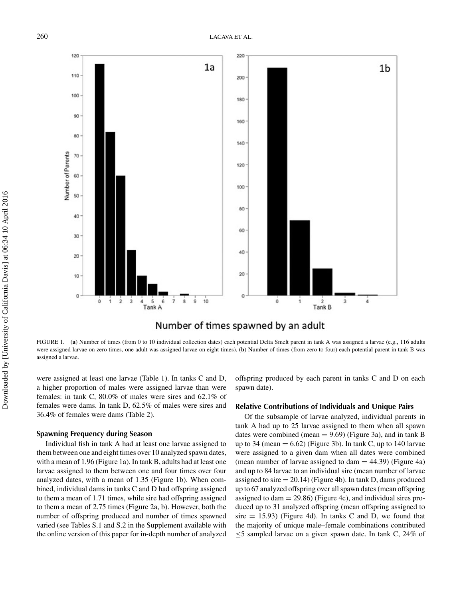

### Number of times spawned by an adult

FIGURE 1. (**a**) Number of times (from 0 to 10 individual collection dates) each potential Delta Smelt parent in tank A was assigned a larvae (e.g., 116 adults were assigned larvae on zero times, one adult was assigned larvae on eight times). (**b**) Number of times (from zero to four) each potential parent in tank B was assigned a larvae.

were assigned at least one larvae (Table 1). In tanks C and D, a higher proportion of males were assigned larvae than were females: in tank C, 80.0% of males were sires and 62.1% of females were dams. In tank D, 62.5% of males were sires and 36.4% of females were dams (Table 2).

#### **Spawning Frequency during Season**

Individual fish in tank A had at least one larvae assigned to them between one and eight times over 10 analyzed spawn dates, with a mean of 1.96 (Figure 1a). In tank B, adults had at least one larvae assigned to them between one and four times over four analyzed dates, with a mean of 1.35 (Figure 1b). When combined, individual dams in tanks C and D had offspring assigned to them a mean of 1.71 times, while sire had offspring assigned to them a mean of 2.75 times (Figure 2a, b). However, both the number of offspring produced and number of times spawned varied (see Tables S.1 and S.2 in the Supplement available with the online version of this paper for in-depth number of analyzed offspring produced by each parent in tanks C and D on each spawn date).

#### **Relative Contributions of Individuals and Unique Pairs**

Of the subsample of larvae analyzed, individual parents in tank A had up to 25 larvae assigned to them when all spawn dates were combined (mean  $= 9.69$ ) (Figure 3a), and in tank B up to 34 (mean  $= 6.62$ ) (Figure 3b). In tank C, up to 140 larvae were assigned to a given dam when all dates were combined (mean number of larvae assigned to dam  $=$  44.39) (Figure 4a) and up to 84 larvae to an individual sire (mean number of larvae assigned to sire  $= 20.14$ ) (Figure 4b). In tank D, dams produced up to 67 analyzed offspring over all spawn dates (mean offspring assigned to dam  $= 29.86$ ) (Figure 4c), and individual sires produced up to 31 analyzed offspring (mean offspring assigned to sire  $= 15.93$ ) (Figure 4d). In tanks C and D, we found that the majority of unique male–female combinations contributed ≤5 sampled larvae on a given spawn date. In tank C, 24% of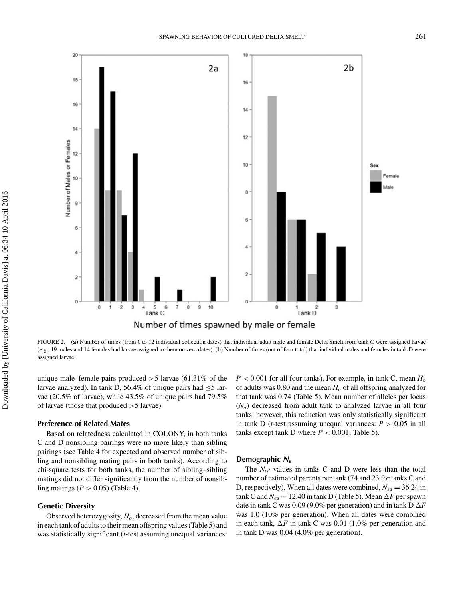

FIGURE 2. (**a**) Number of times (from 0 to 12 individual collection dates) that individual adult male and female Delta Smelt from tank C were assigned larvae (e.g., 19 males and 14 females had larvae assigned to them on zero dates). (**b**) Number of times (out of four total) that individual males and females in tank D were assigned larvae.

unique male–female pairs produced  $>5$  larvae (61.31% of the larvae analyzed). In tank D, 56.4% of unique pairs had  $\leq$ 5 larvae (20.5% of larvae), while 43.5% of unique pairs had 79.5% of larvae (those that produced >5 larvae).

#### **Preference of Related Mates**

Based on relatedness calculated in COLONY, in both tanks C and D nonsibling pairings were no more likely than sibling pairings (see Table 4 for expected and observed number of sibling and nonsibling mating pairs in both tanks). According to chi-square tests for both tanks, the number of sibling–sibling matings did not differ significantly from the number of nonsibling matings  $(P > 0.05)$  (Table 4).

#### **Genetic Diversity**

Observed heterozygosity,  $H<sub>o</sub>$ , decreased from the mean value in each tank of adults to their mean offspring values (Table 5) and was statistically significant (*t*-test assuming unequal variances:

 $P < 0.001$  for all four tanks). For example, in tank C, mean  $H_0$ of adults was 0.80 and the mean  $H<sub>o</sub>$  of all offspring analyzed for that tank was 0.74 (Table 5). Mean number of alleles per locus (*Na*) decreased from adult tank to analyzed larvae in all four tanks; however, this reduction was only statistically significant in tank D (*t*-test assuming unequal variances:  $P > 0.05$  in all tanks except tank D where  $P < 0.001$ ; Table 5).

#### **Demographic** *Ne*

The *Ned* values in tanks C and D were less than the total number of estimated parents per tank (74 and 23 for tanks C and D, respectively). When all dates were combined,  $N_{ed} = 36.24$  in  $tanh C$  and  $N_{ed} = 12.40$  in  $tanh D$  (Table 5). Mean  $\Delta F$  per spawn date in tank C was 0.09 (9.0% per generation) and in tank  $D \Delta F$ was 1.0 (10% per generation). When all dates were combined in each tank,  $\Delta F$  in tank C was 0.01 (1.0% per generation and in tank D was 0.04 (4.0% per generation).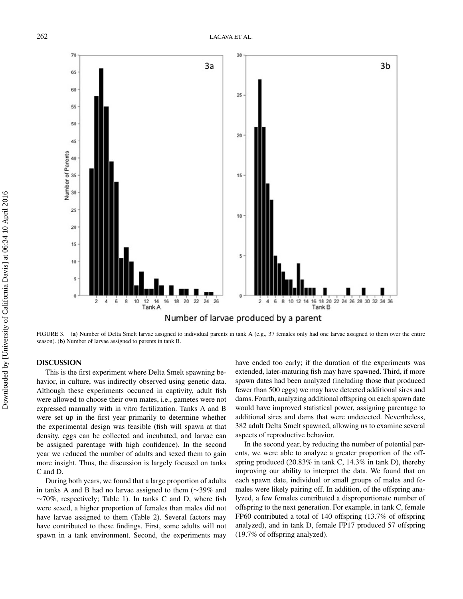![](_page_8_Figure_1.jpeg)

FIGURE 3. (a) Number of Delta Smelt larvae assigned to individual parents in tank A (e.g., 37 females only had one larvae assigned to them over the entire season). (**b**) Number of larvae assigned to parents in tank B.

#### **DISCUSSION**

This is the first experiment where Delta Smelt spawning behavior, in culture, was indirectly observed using genetic data. Although these experiments occurred in captivity, adult fish were allowed to choose their own mates, i.e., gametes were not expressed manually with in vitro fertilization. Tanks A and B were set up in the first year primarily to determine whether the experimental design was feasible (fish will spawn at that density, eggs can be collected and incubated, and larvae can be assigned parentage with high confidence). In the second year we reduced the number of adults and sexed them to gain more insight. Thus, the discussion is largely focused on tanks C and D.

During both years, we found that a large proportion of adults in tanks A and B had no larvae assigned to them (∼39% and ∼70%, respectively; Table 1). In tanks C and D, where fish were sexed, a higher proportion of females than males did not have larvae assigned to them (Table 2). Several factors may have contributed to these findings. First, some adults will not spawn in a tank environment. Second, the experiments may

have ended too early; if the duration of the experiments was extended, later-maturing fish may have spawned. Third, if more spawn dates had been analyzed (including those that produced fewer than 500 eggs) we may have detected additional sires and dams. Fourth, analyzing additional offspring on each spawn date would have improved statistical power, assigning parentage to additional sires and dams that were undetected. Nevertheless, 382 adult Delta Smelt spawned, allowing us to examine several aspects of reproductive behavior.

In the second year, by reducing the number of potential parents, we were able to analyze a greater proportion of the offspring produced (20.83% in tank C, 14.3% in tank D), thereby improving our ability to interpret the data. We found that on each spawn date, individual or small groups of males and females were likely pairing off. In addition, of the offspring analyzed, a few females contributed a disproportionate number of offspring to the next generation. For example, in tank C, female FP60 contributed a total of 140 offspring (13.7% of offspring analyzed), and in tank D, female FP17 produced 57 offspring (19.7% of offspring analyzed).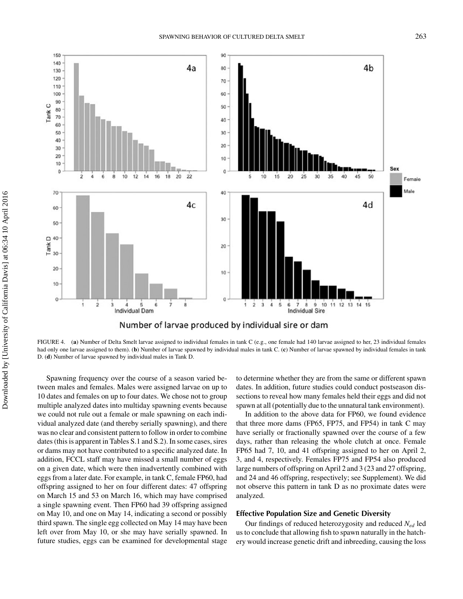![](_page_9_Figure_1.jpeg)

FIGURE 4. (**a**) Number of Delta Smelt larvae assigned to individual females in tank C (e.g., one female had 140 larvae assigned to her, 23 individual females had only one larvae assigned to them). (**b**) Number of larvae spawned by individual males in tank C. (**c**) Number of larvae spawned by individual females in tank D. (**d**) Number of larvae spawned by individual males in Tank D.

Spawning frequency over the course of a season varied between males and females. Males were assigned larvae on up to 10 dates and females on up to four dates. We chose not to group multiple analyzed dates into multiday spawning events because we could not rule out a female or male spawning on each individual analyzed date (and thereby serially spawning), and there was no clear and consistent pattern to follow in order to combine dates (this is apparent in Tables S.1 and S.2). In some cases, sires or dams may not have contributed to a specific analyzed date. In addition, FCCL staff may have missed a small number of eggs on a given date, which were then inadvertently combined with eggs from a later date. For example, in tank C, female FP60, had offspring assigned to her on four different dates: 47 offspring on March 15 and 53 on March 16, which may have comprised a single spawning event. Then FP60 had 39 offspring assigned on May 10, and one on May 14, indicating a second or possibly third spawn. The single egg collected on May 14 may have been left over from May 10, or she may have serially spawned. In future studies, eggs can be examined for developmental stage

to determine whether they are from the same or different spawn dates. In addition, future studies could conduct postseason dissections to reveal how many females held their eggs and did not spawn at all (potentially due to the unnatural tank environment).

In addition to the above data for FP60, we found evidence that three more dams (FP65, FP75, and FP54) in tank C may have serially or fractionally spawned over the course of a few days, rather than releasing the whole clutch at once. Female FP65 had 7, 10, and 41 offspring assigned to her on April 2, 3, and 4, respectively. Females FP75 and FP54 also produced large numbers of offspring on April 2 and 3 (23 and 27 offspring, and 24 and 46 offspring, respectively; see Supplement). We did not observe this pattern in tank D as no proximate dates were analyzed.

#### **Effective Population Size and Genetic Diversity**

Our findings of reduced heterozygosity and reduced *Ned* led us to conclude that allowing fish to spawn naturally in the hatchery would increase genetic drift and inbreeding, causing the loss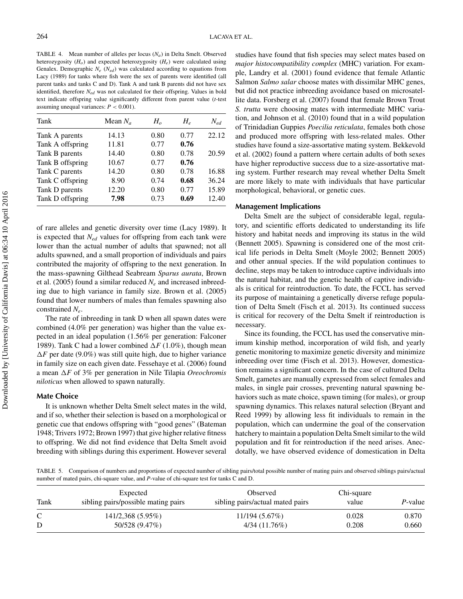TABLE 4. Mean number of alleles per locus  $(N_a)$  in Delta Smelt. Observed heterozygosity  $(H<sub>o</sub>)$  and expected heterozygosity  $(H<sub>e</sub>)$  were calculated using Genalex. Demographic  $N_e$  ( $N_{ed}$ ) was calculated according to equations from Lacy (1989) for tanks where fish were the sex of parents were identified (all parent tanks and tanks C and D). Tank A and tank B parents did not have sex identified, therefore *Ned* was not calculated for their offspring. Values in bold text indicate offspring value significantly different from parent value (*t*-test assuming unequal variances:  $P < 0.001$ ).

| Tank             | Mean $N_a$ | $H_{o}$ | $H_{\scriptscriptstyle e}$ | $N_{ed}$ |
|------------------|------------|---------|----------------------------|----------|
| Tank A parents   | 14.13      | 0.80    | 0.77                       | 22.12    |
| Tank A offspring | 11.81      | 0.77    | 0.76                       |          |
| Tank B parents   | 14.40      | 0.80    | 0.78                       | 20.59    |
| Tank B offspring | 10.67      | 0.77    | 0.76                       |          |
| Tank C parents   | 14.20      | 0.80    | 0.78                       | 16.88    |
| Tank C offspring | 8.90       | 0.74    | 0.68                       | 36.24    |
| Tank D parents   | 12.20      | 0.80    | 0.77                       | 15.89    |
| Tank D offspring | 7.98       | 0.73    | 0.69                       | 12.40    |

of rare alleles and genetic diversity over time (Lacy 1989). It is expected that *Ned* values for offspring from each tank were lower than the actual number of adults that spawned; not all adults spawned, and a small proportion of individuals and pairs contributed the majority of offspring to the next generation. In the mass-spawning Gilthead Seabream *Sparus aurata*, Brown et al. (2005) found a similar reduced  $N_e$  and increased inbreeding due to high variance in family size. Brown et al. (2005) found that lower numbers of males than females spawning also constrained *Ne*.

The rate of inbreeding in tank D when all spawn dates were combined (4.0% per generation) was higher than the value expected in an ideal population (1.56% per generation: Falconer 1989). Tank C had a lower combined  $\Delta F$  (1.0%), though mean  $\Delta F$  per date (9.0%) was still quite high, due to higher variance in family size on each given date. Fessehaye et al. (2006) found a mean  $\Delta F$  of 3% per generation in Nile Tilapia *Oreochromis niloticus* when allowed to spawn naturally.

#### **Mate Choice**

It is unknown whether Delta Smelt select mates in the wild, and if so, whether their selection is based on a morphological or genetic cue that endows offspring with "good genes" (Bateman 1948; Trivers 1972; Brown 1997) that give higher relative fitness to offspring. We did not find evidence that Delta Smelt avoid breeding with siblings during this experiment. However several studies have found that fish species may select mates based on *major histocompatibility complex* (MHC) variation. For example, Landry et al. (2001) found evidence that female Atlantic Salmon *Salmo salar* choose mates with dissimilar MHC genes, but did not practice inbreeding avoidance based on microsatellite data. Forsberg et al. (2007) found that female Brown Trout *S. trutta* were choosing mates with intermediate MHC variation, and Johnson et al. (2010) found that in a wild population of Trinidadian Guppies *Poecilia reticulata*, females both chose and produced more offspring with less-related males. Other studies have found a size-assortative mating system. Bekkevold et al. (2002) found a pattern where certain adults of both sexes have higher reproductive success due to a size-assortative mating system. Further research may reveal whether Delta Smelt are more likely to mate with individuals that have particular morphological, behavioral, or genetic cues.

#### **Management Implications**

Delta Smelt are the subject of considerable legal, regulatory, and scientific efforts dedicated to understanding its life history and habitat needs and improving its status in the wild (Bennett 2005). Spawning is considered one of the most critical life periods in Delta Smelt (Moyle 2002; Bennett 2005) and other annual species. If the wild population continues to decline, steps may be taken to introduce captive individuals into the natural habitat, and the genetic health of captive individuals is critical for reintroduction. To date, the FCCL has served its purpose of maintaining a genetically diverse refuge population of Delta Smelt (Fisch et al. 2013). Its continued success is critical for recovery of the Delta Smelt if reintroduction is necessary.

Since its founding, the FCCL has used the conservative minimum kinship method, incorporation of wild fish, and yearly genetic monitoring to maximize genetic diversity and minimize inbreeding over time (Fisch et al. 2013). However, domestication remains a significant concern. In the case of cultured Delta Smelt, gametes are manually expressed from select females and males, in single pair crosses, preventing natural spawning behaviors such as mate choice, spawn timing (for males), or group spawning dynamics. This relaxes natural selection (Bryant and Reed 1999) by allowing less fit individuals to remain in the population, which can undermine the goal of the conservation hatchery to maintain a population Delta Smelt similar to the wild population and fit for reintroduction if the need arises. Anecdotally, we have observed evidence of domestication in Delta

TABLE 5. Comparison of numbers and proportions of expected number of sibling pairs/total possible number of mating pairs and observed siblings pairs/actual number of mated pairs, chi-square value, and *P*-value of chi-square test for tanks C and D.

| Tank | Expected<br>sibling pairs/possible mating pairs | Observed<br>sibling pairs/actual mated pairs | Chi-square<br>value | P-value |
|------|-------------------------------------------------|----------------------------------------------|---------------------|---------|
| C    | 141/2,368 (5.95%)                               | 11/194(5.67%)                                | 0.028               | 0.870   |
|      | 50/528 (9.47%)                                  | 4/34(11.76%)                                 | 0.208               | 0.660   |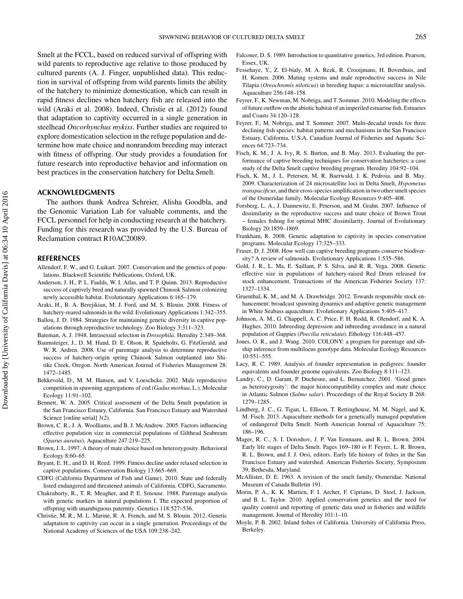Smelt at the FCCL, based on reduced survival of offspring with wild parents to reproductive age relative to those produced by cultured parents (A. J. Finger, unpublished data). This reduction in survival of offspring from wild parents limits the ability of the hatchery to minimize domestication, which can result in rapid fitness declines when hatchery fish are released into the wild (Araki et al. 2008). Indeed, Christie et al. (2012) found that adaptation to captivity occurred in a single generation in steelhead *Oncorhynchus mykiss*. Further studies are required to explore domestication selection in the refuge population and determine how mate choice and nonrandom breeding may interact with fitness of offspring. Our study provides a foundation for future research into reproductive behavior and information on best practices in the conservation hatchery for Delta Smelt.

#### **ACKNOWLEDGMENTS**

The authors thank Andrea Schreier, Alisha Goodbla, and the Genomic Variation Lab for valuable comments, and the FCCL personnel for help in conducting research at the hatchery. Funding for this research was provided by the U.S. Bureau of Reclamation contract R10AC20089.

#### **REFERENCES**

- Allendorf, F. W., and G. Luikart. 2007. Conservation and the genetics of populations. Blackwell Scientific Publications, Oxford, UK.
- Anderson, J. H., P. L. Faulds, W. I. Atlas, and T. P. Quinn. 2013. Reproductive success of captively bred and naturally spawned Chinook Salmon colonizing newly accessible habitat. Evolutionary Applications 6:165–179.
- Araki, H., B. A. Berejikian, M. J. Ford, and M. S. Blouin. 2008. Fitness of hatchery-reared salmonids in the wild. Evolutionary Applications 1:342–355.
- Ballou, J. D. 1984. Strategies for maintaining genetic diversity in captive populations through reproductive technology. Zoo Biology 3:311–323.
- Bateman, A. J. 1948. Intrasexual selection in *Drosophila*. Heredity 2:349–368. Baumsteiger, J., D. M. Hand, D. E. Olson, R. Spateholts, G. FitzGerald, and
- W. R. Ardren. 2008. Use of parentage analysis to determine reproductive success of hatchery-origin spring Chinook Salmon outplanted into Shitike Creek, Oregon. North American Journal of Fisheries Management 28: 1472–1485.
- Bekkevold, D., M. M. Hansen, and V. Loeschcke. 2002. Male reproductive competition in spawning aggregations of cod (*Gadus morhua*, L.). Molecular Ecology 11:91–102.
- Bennett, W. A. 2005. Critical assessment of the Delta Smelt population in the San Francisco Estuary, California. San Francisco Estuary and Watershed Science [online serial] 3(2).
- Brown, C. R., J. A. Woolliams, and B. J. McAndrew. 2005. Factors influencing effective population size in commercial populations of Gilthead Seabream (*Sparus auratus*). Aquaculture 247:219–225.
- Brown, J. L. 1997. A theory of mate choice based on heterozygosity. Behavioral Ecology 8:60–65.
- Bryant, E. H., and D. H. Reed. 1999. Fitness decline under relaxed selection in captive populations. Conservation Biology 13:665–669.
- CDFG (California Department of Fish and Game). 2010. State and federally listed endangered and threatened animals of California. CDFG, Sacramento.
- Chakraborty, R., T. R. Meagher, and P. E. Smouse. 1988. Parentage analysis with genetic markers in natural populations I. The expected proportion of offspring with unambiguous paternity. Genetics 118:527–536.
- Christie, M. R., M. L. Marine, R. A. French, and M. S. Blouin. 2012. Genetic adaptation to captivity can occur in a single generation. Proceedings of the National Academy of Sciences of the USA 109:238–242.
- Falconer, D. S. 1989. Introduction to quantitative genetics, 3rd edition. Pearson, Essex, UK.
- Fessehaye, Y., Z. El-bialy, M. A. Rezk, R. Crooijmans, H. Bovenhuis, and H. Komen. 2006. Mating systems and male reproductive success in Nile Tilapia (*Oreochromis niloticus*) in breeding hapas: a microsatellite analysis. Aquaculture 256:148–158.
- Feyrer, F., K. Newman, M. Nobriga, and T. Sommer. 2010. Modeling the effects of future outflow on the abiotic habitat of an imperiled estuarine fish. Estuaries and Coasts 34:120–128.
- Feyrer, F., M. Nobriga, and T. Sommer. 2007. Multi-decadal trends for three declining fish species: habitat patterns and mechanisms in the San Francisco Estuary, California, U.S.A. Canadian Journal of Fisheries and Aquatic Sciences 64:723–734.
- Fisch, K. M., J. A. Ivy, R. S. Burton, and B. May. 2013. Evaluating the performance of captive breeding techniques for conservation hatcheries: a case study of the Delta Smelt captive breeding program. Heredity 104:92–104.
- Fisch, K. M., J. L. Petersen, M. R. Baerwald, J. K. Pedroia, and B. May. 2009. Characterization of 24 microsatellite loci in Delta Smelt, *Hypomesus transpacificus*, and their cross-species amplification in two other smelt species of the Osmeridae family. Molecular Ecology Resources 9:405–408.
- Forsberg, L. A., J. Dannewitz, E. Peterson, and M. Grahn. 2007. Influence of dissimilarity in the reproductive success and mate choice of Brown Trout – females fishing for optimal MHC dissimilarity. Journal of Evolutionary Biology 20:1859–1869.
- Frankham, R. 2008. Genetic adaptation to captivity in species conservation programs. Molecular Ecology 17:325–333.
- Fraser, D. J. 2008. How well can captive breeding programs conserve biodiversity? A review of salmonids. Evolutionary Applications 1:535–586.
- Gold, J. R., L. Ma, E. Saillant, P. S. Silva, and R. R. Vega. 2008. Genetic effective size in populations of hatchery-raised Red Drum released for stock enhancement. Transactions of the American Fisheries Society 137: 1327–1334.
- Gruenthal, K. M., and M. A. Drawbridge. 2012. Towards responsible stock enhancement: broadcast spawning dynamics and adaptive genetic management in White Seabass aquaculture. Evolutionary Applications 5:405–417.
- Johnson, A. M., G. Chappell, A. C. Price, F. H. Rodd, R. Olendorf, and K. A. Hughes. 2010. Inbreeding depression and inbreeding avoidance in a natural population of Guppies (*Poecilia reticulata*). Ethology 116:448–457.
- Jones, O. R., and J. Wang. 2010. COLONY: a program for parentage and sibship inference from multilocus genotype data. Molecular Ecology Resources 10:551–555.
- Lacy, R. C. 1989. Analysis of founder representation in pedigrees: founder equivalents and founder genome equivalents. Zoo Biology 8:111–123.
- Landry, C., D. Garant, P. Duchesne, and L. Bernatchez. 2001. 'Good genes as heterozygosity': the major histocompatibility complex and mate choice in Atlantic Salmon (*Salmo salar*). Proceedings of the Royal Society B 268: 1279–1285.
- Lindberg, J. C., G. Tigan, L. Ellison, T. Rettinghouse, M. M. Nagel, and K. M. Fisch. 2013. Aquaculture methods for a genetically managed population of endangered Delta Smelt. North American Journal of Aquaculture 75: 186–196.
- Mager, R. C., S. I. Doroshov, J. P. Van Eennaam, and R. L. Brown. 2004. Early life stages of Delta Smelt. Pages 169–180 *in* F. Feyrer, L. R. Brown, R. L. Brown, and J. J. Orsi, editors. Early life history of fishes in the San Francisco Estuary and watershed. American Fisheries Society, Symposium 39, Bethesda, Maryland.
- McAllister, D. E. 1963. A revision of the smelt family, Osmeridae. National Museum of Canada Bulletin 191.
- Morin, P. A., K. K. Martien, F. I. Archer, F. Cipriano, D. Steel, J. Jackson, and B. L. Taylor. 2010. Applied conservation genetics and the need for quality control and reporting of genetic data used in fisheries and wildlife management. Journal of Heredity 101:1–10.
- Moyle, P. B. 2002. Inland fishes of California. University of California Press, Berkeley.